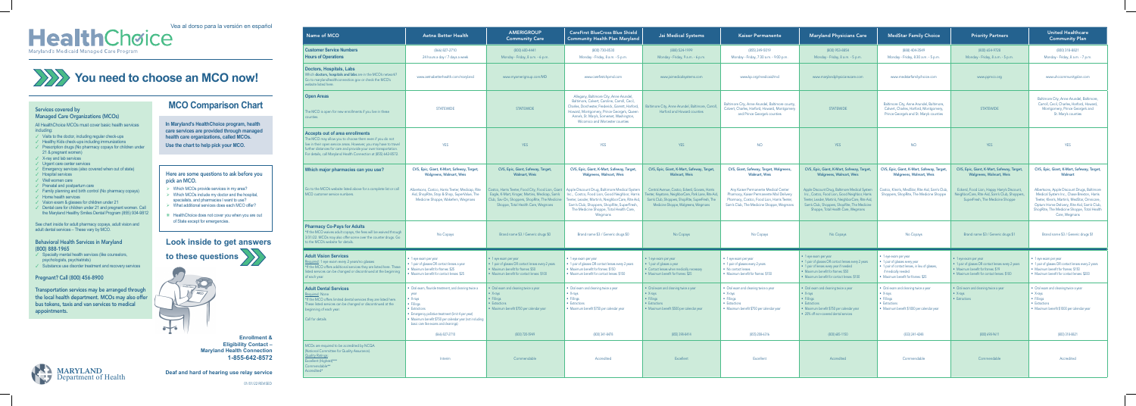### Services covered by

### Managed Care Organizations (MCOs)

All HealthChoice MCOs must cover basic health services including:

- $\checkmark$  Visits to the doctor, including regular check-ups
- ✓ Healthy Kids check-ups including immunizations
- ✓ Prescription drugs (No pharmacy copays for children under 21 & pregnant women)
- ✓ X-ray and lab services
- ✓ Urgent care center services
- ✓ Emergency services (also covered when out of state)
- ✓ Hospital services
- ✓ Well women care
- ✓ Prenatal and postpartum care
- ✓ Family planning and birth control (No pharmacy copays)
- ✓ Home health services
- ✓ Vision exam & glasses for children under 21
- ✓ Dental care for children under 21 and pregnant women. Call the Maryland Healthy Smiles Dental Program (855) 934-9812

- $\checkmark$  Specialty mental health services (like counselors, psychologists, psychiatrists)
- ✓ Substance use disorder treatment and recovery services

See chart inside for adult pharmacy copays, adult vision and adult dental services – These vary by MCO.

### Behavioral Health Services in Maryland (800) 888-1965

### Pregnant? Call (800) 456-8900

Transportation services may be arranged through the local health department. MCOs may also offer bus tokens, taxis and van services to medical appointments.

**MCO Comparison Chart**

| Name of MCO                                                                                                                                                                                                                                                                                                  | <b>Aetna Better Health</b>                                                                                                                                                                                                                                                 | <b>AMERIGROUP</b><br><b>Community Care</b>                                                                                                                                                   | <b>CareFirst BlueCross Blue Shield</b><br><b>Community Health Plan Maryland</b>                                                                                                                                                                                             | Jai Medical Systems                                                                                                                                                                              | <b>Kaiser Permanente</b>                                                                                                                                                     | <b>Maryland Physicians Care</b>                                                                                                                                                                                                            | <b>MedStar Family Choice</b>                                                                                                                                            | <b>Priority Partners</b>                                                                                                                                                  | <b>United Healthcare</b><br><b>Community Plan</b>                                                                                                                                                                                                        |
|--------------------------------------------------------------------------------------------------------------------------------------------------------------------------------------------------------------------------------------------------------------------------------------------------------------|----------------------------------------------------------------------------------------------------------------------------------------------------------------------------------------------------------------------------------------------------------------------------|----------------------------------------------------------------------------------------------------------------------------------------------------------------------------------------------|-----------------------------------------------------------------------------------------------------------------------------------------------------------------------------------------------------------------------------------------------------------------------------|--------------------------------------------------------------------------------------------------------------------------------------------------------------------------------------------------|------------------------------------------------------------------------------------------------------------------------------------------------------------------------------|--------------------------------------------------------------------------------------------------------------------------------------------------------------------------------------------------------------------------------------------|-------------------------------------------------------------------------------------------------------------------------------------------------------------------------|---------------------------------------------------------------------------------------------------------------------------------------------------------------------------|----------------------------------------------------------------------------------------------------------------------------------------------------------------------------------------------------------------------------------------------------------|
| <b>Customer Service Numbers</b><br><b>Hours of Operations</b>                                                                                                                                                                                                                                                | (866) 827-2710<br>24 hours a day / 7 days a week                                                                                                                                                                                                                           | (800) 600-4441<br>Monday - Friday, 8 a.m. - 6 p.m.                                                                                                                                           | (800) 730-8530<br>Monday - Friday, 8 a.m. - 5 p.m.                                                                                                                                                                                                                          | (888) 524-1999<br>Monday - Friday, 9 a.m. - 6 p.m.                                                                                                                                               | (855) 249-5019<br>Monday - Friday, 7:30 a.m. - 9:00 p.m.                                                                                                                     | (800) 953-8854<br>Monday - Friday, 8 a.m. - 5 p.m.                                                                                                                                                                                         | (888) 404-3549<br>Monday - Friday, 8:30 a.m. - 5 p.m.                                                                                                                   | (800) 654-9728<br>Monday - Friday, 8 a.m. - 5 p.m.                                                                                                                        | (800) 318-8821<br>Monday - Friday, 8 a.m. - 7 p.m.                                                                                                                                                                                                       |
| <b>Doctors, Hospitals, Labs</b><br>Which doctors, hospitals and labs are in the MCO's network?<br>Go to marylandhealthconnection.gov or check the MCO's<br>website listed here.                                                                                                                              | www.aetnabetterhealth.com/maryland                                                                                                                                                                                                                                         | www.myamerigroup.com/MD                                                                                                                                                                      | www.carefirstchpmd.com                                                                                                                                                                                                                                                      | www.jaimedicalsystems.com                                                                                                                                                                        | www.kp.org/medicaid/md                                                                                                                                                       | www.marylandphysicianscare.com                                                                                                                                                                                                             | www.medstarfamilychoice.com                                                                                                                                             | www.ppmco.org                                                                                                                                                             | www.uhccommunityplan.com                                                                                                                                                                                                                                 |
| <b>Open Areas</b><br>The MCO is open for new enrollments if you live in these<br>counties.                                                                                                                                                                                                                   | <b>STATEWIDE</b>                                                                                                                                                                                                                                                           | <b>STATEWIDE</b>                                                                                                                                                                             | Allegany, Baltimore City, Anne Arundel,<br>Baltimore, Calvert, Caroline, Carroll, Cecil,<br>Charles, Dorchester, Frederick, Garrett, Harford,<br>Howard, Montgomery, Prince George's, Queen<br>Anne's, St. Mary's, Somerset, Washington,<br>Wicomico and Worcester counties | nore City, Anne Arundel, Baltimore, Carroll,<br>Harford and Howard counties                                                                                                                      | Baltimore City, Anne Arundel, Baltimore county,<br>Calvert, Charles, Harford, Howard, Montgomery<br>and Prince George's counties                                             | <b>STATEWIDE</b>                                                                                                                                                                                                                           | Baltimore City, Anne Arundel, Baltimore,<br>Calvert, Charles, Harford, Montgomery,<br>Prince George's and St. Mary's counties                                           | <b>STATEWIDE</b>                                                                                                                                                          | Baltimore City, Anne Arundel, Baltimore,<br>Carroll, Cecil, Charles, Harford, Howard,<br>Montgomery, Prince George's and<br>St. Mary's counties                                                                                                          |
| <b>Accepts out of area enrollments</b><br>The MCO may allow you to choose them even if you do not<br>live in their open service areas. However, you may have to travel<br>further distances for care and provide your own transportation.<br>For details, call Maryland Health Connection at (855) 642-8572. | <b>YES</b>                                                                                                                                                                                                                                                                 | <b>YES</b>                                                                                                                                                                                   | <b>YES</b>                                                                                                                                                                                                                                                                  | <b>YES</b>                                                                                                                                                                                       | <b>NO</b>                                                                                                                                                                    | <b>YES</b>                                                                                                                                                                                                                                 | <b>NO</b>                                                                                                                                                               | <b>YES</b>                                                                                                                                                                | <b>YES</b>                                                                                                                                                                                                                                               |
| Which major pharmacies can you use?                                                                                                                                                                                                                                                                          | CVS, Epic, Giant, K-Mart, Safeway, Target,<br><b>Walgreens, Walmart, Weis</b>                                                                                                                                                                                              | CVS, Epic, Giant, Safeway, Target,<br><b>Walmart, Weis</b>                                                                                                                                   | CVS, Epic, Giant, K-Mart, Safeway, Target,<br><b>Walgreens, Walmart, Weis</b>                                                                                                                                                                                               | CVS, Epic, Giant, K-Mart, Safeway, Target,<br><b>Walmart, Weis</b>                                                                                                                               | CVS, Giant, Safeway, Target, Walgreens,<br><b>Walmart, Weis</b>                                                                                                              | CVS, Epic, Giant, K-Mart, Safeway, Target,<br><b>Walgreens, Walmart, Weis</b>                                                                                                                                                              | CVS, Epic, Giant, K-Mart, Safeway, Target,<br><b>Walgreens, Walmart, Weis</b>                                                                                           | CVS, Epic, Giant, K-Mart, Safeway, Target,<br><b>Walgreens, Walmart, Weis</b>                                                                                             | CVS, Epic, Giant, K-Mart, Safeway, Target,<br>Walmart                                                                                                                                                                                                    |
| Go to the MCO's website listed above for a complete list or call<br>MCO customer service numbers.                                                                                                                                                                                                            | Albertsons, Costco, Harris Teeter, Medicap, Rite<br>Aid, ShopRite, Stop & Shop, SuperValue, The<br>Medicine Shoppe, Wakefern, Wegmans                                                                                                                                      | Costco, Harris Teeter, Food City, Food Lion, Giant<br>Eagle, K-Mart, Kroger, Martins, Medicap, Sam's<br>Club, Sav-On, Shoppers, ShopRite, The Medicine<br>Shoppe, Total Health Care, Wegmans | Apple Discount Drug, Baltimore Medical System<br>Inc., Costco, Food Lion, Good Neighbor, Harris<br>Teeter, Leader, Martin's, NeighborCare, Rite Aid,<br>Sam's Club, Shoppers, ShopRite, SuperFresh,<br>The Medicine Shoppe, Total Health Care,<br>Wegmans                   | Central Avenue, Costco, Eckerd, Govans, Harris<br>Teeter, Keystone, NeighborCare, Park Lane, Rite Aid,<br>Sam's Club, Shoppers, ShopRite, SuperFresh, The<br>Medicine Shoppe, Walgreens, Wegmans | Any Kaiser Permanente Medical Center<br>Pharmacy, Kaiser Permanente Mail Delivery<br>Pharmacy, Costco, Food Lion, Harris Teeter,<br>Sam's Club, The Medicine Shoppe, Wegmans | Apple Discount Drug, Baltimore Medical System<br>Inc., Costco, Food Lion, Good Neighbor, Harris<br>Teeter, Leader, Martin's, NeighborCare, Rite Aid,<br>Sam's Club, Shoppers, ShopRite, The Medicine<br>Shoppe, Total Health Care, Wegmans | Costco, Klein's, MedStar, Rite Aid, Sam's Club,<br>Shoppers, ShopRite, The Medicine Shoppe                                                                              | Eckerd, Food Lion, Happy Harry's Discount,<br>NeighborCare, Rite Aid, Sam's Club, Shoppers<br>SuperFresh, The Medicine Shoppe                                             | Albertsons, Apple Discount Drugs, Baltimore<br>Medical System Inc., Chase Brexton, Harris<br>Teeter, Klein's, Martin's, MedStar, Omnicare,<br>Optum Home Delivery, Rite Aid, Sam's Club,<br>ShopRite, The Medicine Shoppe, Total Health<br>Care, Wegmans |
| <b>Pharmacy Co-Pays for Adults</b><br>*If the MCO waives adult copays, the fees will be waived through<br>3/31/22. MCOs may also offer some over the counter drugs. Go<br>to the MCO's website for details.                                                                                                  | No Copays                                                                                                                                                                                                                                                                  | Brand name \$3 / Generic drugs \$0                                                                                                                                                           | Brand name \$3 / Generic drugs \$0                                                                                                                                                                                                                                          | No Copays                                                                                                                                                                                        | No Copays                                                                                                                                                                    | No Copays                                                                                                                                                                                                                                  | No Copays                                                                                                                                                               | Brand name \$3 / Generic drugs \$1                                                                                                                                        | Brand name \$3 / Generic drugs \$1                                                                                                                                                                                                                       |
| <b>Adult Vision Services</b><br>Required: 1 eye exam every 2 years/no glasses<br>*If the MCO offers additional services they are listed here. These<br>listed services can be changed or discontinued at the beginning<br>of each year.                                                                      | $\bullet$ 1 eye exam per year<br>• 1 pair of glasses OR contact lenses a year<br>• Maximum benefit for frames: \$25<br>• Maximum benefit for contact lenses: \$25                                                                                                          | $\bullet$ 1 eye exam per year<br>• 1 pair of glasses OR contact lenses every 2 years<br>• Maximum benefit for frames: \$50<br>• Maximum benefit for contact lenses: \$100                    | • 1 eye exam per year<br>• 1 pair of glasses OR contact lenses every 2 years<br>• Maximum benefit for frames: \$150<br>• Maximum benefit for contact lenses: \$150                                                                                                          | • 1 eye exam per year<br>• 1 pair of glasses a year<br>• Contact lenses when medically necessary<br>• Maximum benefit for frames: \$25                                                           | • 1 eye exam per year<br>• 1 pair of glasses every 2 years<br>• No contact lenses<br>• Maximum benefit for frames: \$150                                                     | • 1 eye exam per year<br>• 1 pair of glasses OR contact lenses every 2 years<br>• 1 pair of lenses every year if needed<br>• Maximum benefit for frames: \$50<br>• Maximum benefit for contact lenses: \$100                               | • 1 eye exam per year<br>• 1 pair of glasses every year<br>• 1 pair of contact lenses, in lieu of glasses,<br>if medically needed<br>• Maximum benefit for frames: \$25 | $\bullet$ 1 eye exam per year<br>• 1 pair of glasses OR contact lenses every 2 years<br>• Maximum benefit for frames: \$19<br>• Maximum benefit for contact lenses: \$100 | $\bullet$ 1 eye exam per year<br>• 1 pair of glasses OR contact lenses every 2 years<br>• Maximum benefit for frames: \$150<br>• Maximum benefit for contact lenses: \$200                                                                               |
| <b>Adult Dental Services</b><br>Required: None<br>*If the MCO offers limited dental services they are listed here<br>These listed services can be changed or discontinued at the<br>beginning of each year.<br>Call for details                                                                              | • Oral exam, flouride treatment, and cleaning twice a<br>year<br>$\bullet$ X-rays<br>• Fillings<br>• Extractions<br>• Emergency pallative treatment (limit 4 per year)<br>• Maximum benefit \$750 per calendar year (not including<br>basic care like exams and cleanings) | • Oral exam and cleaning twice a year<br>$\bullet$ X-rays<br>· Fillings<br>• Extractions<br>· Maximum benefit \$750 per calendar year                                                        | • Oral exam and cleaning twice a year<br>$\bullet$ X-rays<br>· Fillings<br>• Extractions<br>• Maximum benefit \$750 per calendar year                                                                                                                                       | • Oral exam and cleaning twice a year<br>$\bullet$ X-rays<br>· Fillings<br>• Extractions<br>• Maximum benefit \$500 per calendar year                                                            | • Oral exam and cleaning twice a year<br>$\bullet$ X-rays<br>· Fillings<br>• Extractions<br>· Maximum benefit \$750 per calendar year                                        | • Oral exam and cleaning twice a year<br>$\bullet$ X-rays<br>• Fillings<br>• Extractions<br>· Maximum benefit \$750 per calendar year<br>• 20% off non-covered dental services                                                             | • Oral exam and cleaning twice a year<br>• $X-rays$<br>• Fillings<br>• Extractions<br>· Maximum benefit \$1000 per calendar year                                        | • Oral exam and cleaning twice a year<br>$\bullet$ X-rays<br>• Extractions                                                                                                | • Oral exam and cleaning twice a year<br>• $X$ -rays<br>• Fillings<br>• Extractions<br>· Maximum benefit \$1000 per calendar year                                                                                                                        |
| MCOs are required to be accredited by NCQA                                                                                                                                                                                                                                                                   | (866) 827-2710                                                                                                                                                                                                                                                             | (800) 720-5949                                                                                                                                                                               | (800) 341-8478                                                                                                                                                                                                                                                              | (855) 398-8414                                                                                                                                                                                   | (855) 208-6316                                                                                                                                                               | (800) 685-1150                                                                                                                                                                                                                             | (833) 241-4248                                                                                                                                                          | (800) 698-9611                                                                                                                                                            | (800) 318-8821                                                                                                                                                                                                                                           |
| (National Committee for Quality Assurance).<br><b>Quality Ratings:</b><br>Excellent (Highest)***<br>Commendable**<br>Accredited*                                                                                                                                                                             | Interim                                                                                                                                                                                                                                                                    | Commendable                                                                                                                                                                                  | Accredited                                                                                                                                                                                                                                                                  | Excellent                                                                                                                                                                                        | Excellent                                                                                                                                                                    | Accredited                                                                                                                                                                                                                                 | Commendable                                                                                                                                                             | Commendable                                                                                                                                                               | Accredited                                                                                                                                                                                                                                               |

**Look inside to get answers** 



Here are some questions to ask before you

pick an MCO.

 $\rightarrow$ 

# Vea al dorso para la versión en español Maryland's Medicaid Managed Care Program

¾ Which MCOs provide services in my area?  $\triangleright$  Which MCOs include my doctor and the hospital, specialists, and pharmacies I want to use? ¾ What additional services does each MCO offer?

❋ HealthChoice does not cover you when you are out

**to these questions** 

of State except for emergencies.

**In Maryland's HealthChoice program, health care services are provided through managed health care organizations, called MCOs. Use the chart to help pick your MCO.**

**Enrollment &** 

**Eligibility Contact –** 

| <b>Maryland Health Connection</b><br>1-855-642-8572 |  |
|-----------------------------------------------------|--|
| d of hearing use relay service                      |  |

| <b>MARYLAND</b> | Deaf and hard of hearing use relay service |
|-----------------|--------------------------------------------|
|                 |                                            |